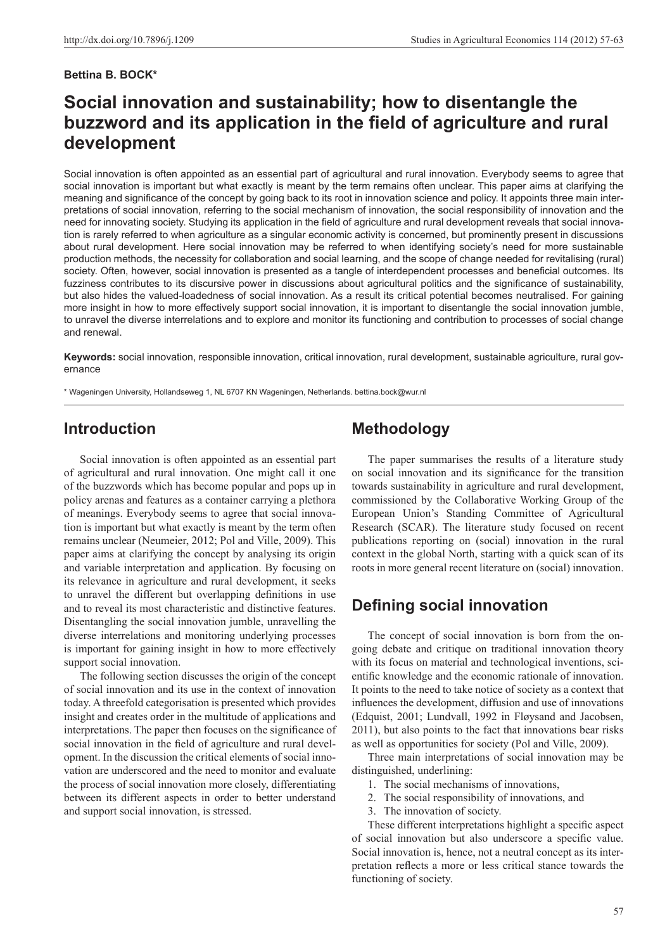### **Bettina B. BOCK\***

# **Social innovation and sustainability; how to disentangle the buzzword and its application in the field of agriculture and rural development**

Social innovation is often appointed as an essential part of agricultural and rural innovation. Everybody seems to agree that social innovation is important but what exactly is meant by the term remains often unclear. This paper aims at clarifying the meaning and significance of the concept by going back to its root in innovation science and policy. It appoints three main interpretations of social innovation, referring to the social mechanism of innovation, the social responsibility of innovation and the need for innovating society. Studying its application in the field of agriculture and rural development reveals that social innovation is rarely referred to when agriculture as a singular economic activity is concerned, but prominently present in discussions about rural development. Here social innovation may be referred to when identifying society's need for more sustainable production methods, the necessity for collaboration and social learning, and the scope of change needed for revitalising (rural) society. Often, however, social innovation is presented as a tangle of interdependent processes and beneficial outcomes. Its fuzziness contributes to its discursive power in discussions about agricultural politics and the significance of sustainability, but also hides the valued-loadedness of social innovation. As a result its critical potential becomes neutralised. For gaining more insight in how to more effectively support social innovation, it is important to disentangle the social innovation jumble, to unravel the diverse interrelations and to explore and monitor its functioning and contribution to processes of social change and renewal.

**Keywords:** social innovation, responsible innovation, critical innovation, rural development, sustainable agriculture, rural governance

\* Wageningen University, Hollandseweg 1, NL 6707 KN Wageningen, Netherlands. bettina.bock@wur.nl

## **Introduction**

Social innovation is often appointed as an essential part of agricultural and rural innovation. One might call it one of the buzzwords which has become popular and pops up in policy arenas and features as a container carrying a plethora of meanings. Everybody seems to agree that social innovation is important but what exactly is meant by the term often remains unclear (Neumeier, 2012; Pol and Ville, 2009). This paper aims at clarifying the concept by analysing its origin and variable interpretation and application. By focusing on its relevance in agriculture and rural development, it seeks to unravel the different but overlapping definitions in use and to reveal its most characteristic and distinctive features. Disentangling the social innovation jumble, unravelling the diverse interrelations and monitoring underlying processes is important for gaining insight in how to more effectively support social innovation.

The following section discusses the origin of the concept of social innovation and its use in the context of innovation today. A threefold categorisation is presented which provides insight and creates order in the multitude of applications and interpretations. The paper then focuses on the significance of social innovation in the field of agriculture and rural development. In the discussion the critical elements of social innovation are underscored and the need to monitor and evaluate the process of social innovation more closely, differentiating between its different aspects in order to better understand and support social innovation, is stressed.

# **Methodology**

The paper summarises the results of a literature study on social innovation and its significance for the transition towards sustainability in agriculture and rural development, commissioned by the Collaborative Working Group of the European Union's Standing Committee of Agricultural Research (SCAR). The literature study focused on recent publications reporting on (social) innovation in the rural context in the global North, starting with a quick scan of its roots in more general recent literature on (social) innovation.

### **Defining social innovation**

The concept of social innovation is born from the ongoing debate and critique on traditional innovation theory with its focus on material and technological inventions, scientific knowledge and the economic rationale of innovation. It points to the need to take notice of society as a context that influences the development, diffusion and use of innovations (Edquist, 2001; Lundvall, 1992 in Fløysand and Jacobsen, 2011), but also points to the fact that innovations bear risks as well as opportunities for society (Pol and Ville, 2009).

Three main interpretations of social innovation may be distinguished, underlining:

- 1. The social mechanisms of innovations,
- 2. The social responsibility of innovations, and
- 3. The innovation of society.

These different interpretations highlight a specific aspect of social innovation but also underscore a specific value. Social innovation is, hence, not a neutral concept as its interpretation reflects a more or less critical stance towards the functioning of society.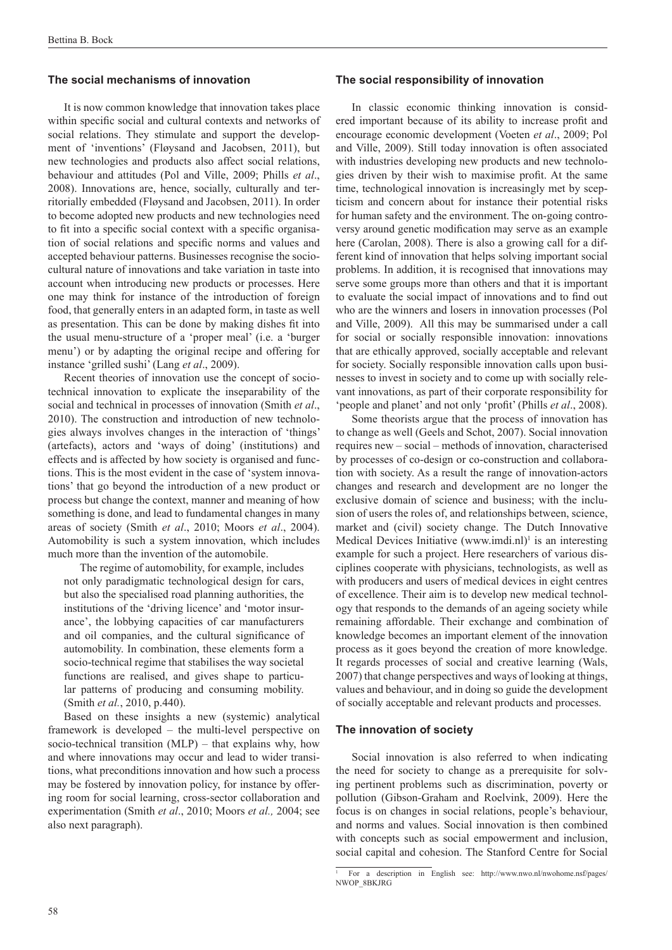### **The social mechanisms of innovation**

It is now common knowledge that innovation takes place within specific social and cultural contexts and networks of social relations. They stimulate and support the development of 'inventions' (Fløysand and Jacobsen, 2011), but new technologies and products also affect social relations, behaviour and attitudes (Pol and Ville, 2009; Phills *et al*., 2008). Innovations are, hence, socially, culturally and territorially embedded (Fløysand and Jacobsen, 2011). In order to become adopted new products and new technologies need to fit into a specific social context with a specific organisation of social relations and specific norms and values and accepted behaviour patterns. Businesses recognise the sociocultural nature of innovations and take variation in taste into account when introducing new products or processes. Here one may think for instance of the introduction of foreign food, that generally enters in an adapted form, in taste as well as presentation. This can be done by making dishes fit into the usual menu-structure of a 'proper meal' (i.e. a 'burger menu') or by adapting the original recipe and offering for instance 'grilled sushi' (Lang *et al*., 2009).

Recent theories of innovation use the concept of sociotechnical innovation to explicate the inseparability of the social and technical in processes of innovation (Smith *et al*., 2010). The construction and introduction of new technologies always involves changes in the interaction of 'things' (artefacts), actors and 'ways of doing' (institutions) and effects and is affected by how society is organised and functions. This is the most evident in the case of 'system innovations' that go beyond the introduction of a new product or process but change the context, manner and meaning of how something is done, and lead to fundamental changes in many areas of society (Smith *et al*., 2010; Moors *et al*., 2004). Automobility is such a system innovation, which includes much more than the invention of the automobile.

The regime of automobility, for example, includes not only paradigmatic technological design for cars, but also the specialised road planning authorities, the institutions of the 'driving licence' and 'motor insurance', the lobbying capacities of car manufacturers and oil companies, and the cultural significance of automobility. In combination, these elements form a socio-technical regime that stabilises the way societal functions are realised, and gives shape to particular patterns of producing and consuming mobility. (Smith *et al.*, 2010, p.440).

Based on these insights a new (systemic) analytical framework is developed – the multi-level perspective on socio-technical transition (MLP) – that explains why, how and where innovations may occur and lead to wider transitions, what preconditions innovation and how such a process may be fostered by innovation policy, for instance by offering room for social learning, cross-sector collaboration and experimentation (Smith *et al*., 2010; Moors *et al.,* 2004; see also next paragraph).

#### **The social responsibility of innovation**

In classic economic thinking innovation is considered important because of its ability to increase profit and encourage economic development (Voeten *et al*., 2009; Pol and Ville, 2009). Still today innovation is often associated with industries developing new products and new technologies driven by their wish to maximise profit. At the same time, technological innovation is increasingly met by scepticism and concern about for instance their potential risks for human safety and the environment. The on-going controversy around genetic modification may serve as an example here (Carolan, 2008). There is also a growing call for a different kind of innovation that helps solving important social problems. In addition, it is recognised that innovations may serve some groups more than others and that it is important to evaluate the social impact of innovations and to find out who are the winners and losers in innovation processes (Pol and Ville, 2009). All this may be summarised under a call for social or socially responsible innovation: innovations that are ethically approved, socially acceptable and relevant for society. Socially responsible innovation calls upon businesses to invest in society and to come up with socially relevant innovations, as part of their corporate responsibility for 'people and planet' and not only 'profit' (Phills *et al.*, 2008).

Some theorists argue that the process of innovation has to change as well (Geels and Schot, 2007). Social innovation requires new – social – methods of innovation, characterised by processes of co-design or co-construction and collaboration with society. As a result the range of innovation-actors changes and research and development are no longer the exclusive domain of science and business; with the inclusion of users the roles of, and relationships between, science, market and (civil) society change. The Dutch Innovative Medical Devices Initiative (www.imdi.nl)<sup>1</sup> is an interesting example for such a project. Here researchers of various disciplines cooperate with physicians, technologists, as well as with producers and users of medical devices in eight centres of excellence. Their aim is to develop new medical technology that responds to the demands of an ageing society while remaining affordable. Their exchange and combination of knowledge becomes an important element of the innovation process as it goes beyond the creation of more knowledge. It regards processes of social and creative learning (Wals, 2007) that change perspectives and ways of looking at things, values and behaviour, and in doing so guide the development of socially acceptable and relevant products and processes.

#### **The innovation of society**

Social innovation is also referred to when indicating the need for society to change as a prerequisite for solving pertinent problems such as discrimination, poverty or pollution (Gibson-Graham and Roelvink, 2009). Here the focus is on changes in social relations, people's behaviour, and norms and values. Social innovation is then combined with concepts such as social empowerment and inclusion, social capital and cohesion. The Stanford Centre for Social

<sup>1</sup> For a description in English see: http://www.nwo.nl/nwohome.nsf/pages/ NWOP\_8BKJRG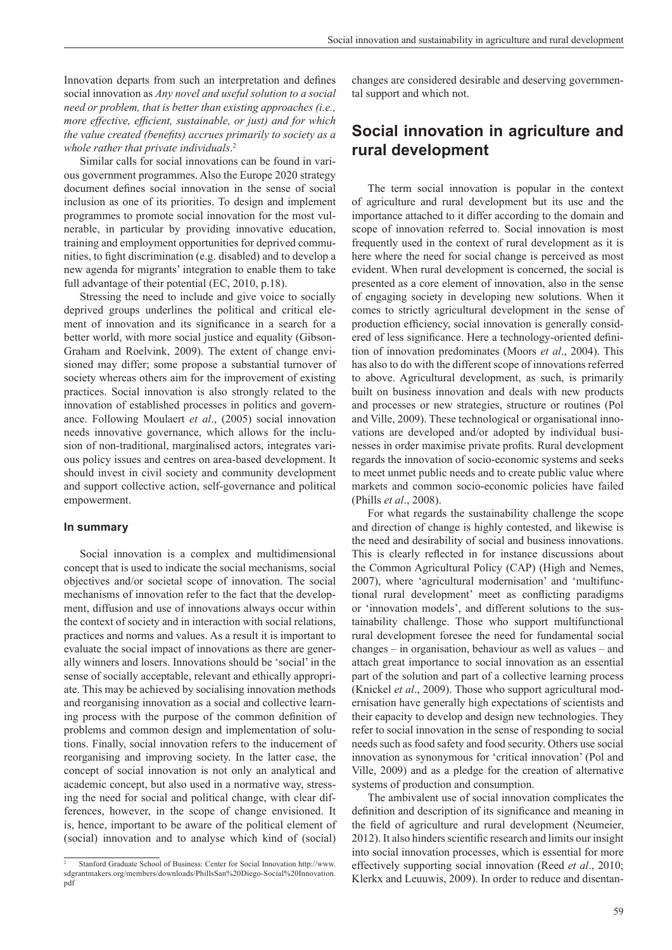Innovation departs from such an interpretation and defines social innovation as *Any novel and useful solution to a social need or problem, that is better than existing approaches (i.e., more effective, efficient, sustainable, or just) and for which the value created (benefits) accrues primarily to society as a whole rather that private individuals*. 2

Similar calls for social innovations can be found in various government programmes. Also the Europe 2020 strategy document defines social innovation in the sense of social inclusion as one of its priorities. To design and implement programmes to promote social innovation for the most vulnerable, in particular by providing innovative education, training and employment opportunities for deprived communities, to fight discrimination (e.g. disabled) and to develop a new agenda for migrants' integration to enable them to take full advantage of their potential (EC, 2010, p.18).

Stressing the need to include and give voice to socially deprived groups underlines the political and critical element of innovation and its significance in a search for a better world, with more social justice and equality (Gibson-Graham and Roelvink, 2009). The extent of change envisioned may differ; some propose a substantial turnover of society whereas others aim for the improvement of existing practices. Social innovation is also strongly related to the innovation of established processes in politics and governance. Following Moulaert *et al*., (2005) social innovation needs innovative governance, which allows for the inclusion of non-traditional, marginalised actors, integrates various policy issues and centres on area-based development. It should invest in civil society and community development and support collective action, self-governance and political empowerment.

#### **In summary**

Social innovation is a complex and multidimensional concept that is used to indicate the social mechanisms, social objectives and/or societal scope of innovation. The social mechanisms of innovation refer to the fact that the development, diffusion and use of innovations always occur within the context of society and in interaction with social relations, practices and norms and values. As a result it is important to evaluate the social impact of innovations as there are generally winners and losers. Innovations should be 'social' in the sense of socially acceptable, relevant and ethically appropriate. This may be achieved by socialising innovation methods and reorganising innovation as a social and collective learning process with the purpose of the common definition of problems and common design and implementation of solutions. Finally, social innovation refers to the inducement of reorganising and improving society. In the latter case, the concept of social innovation is not only an analytical and academic concept, but also used in a normative way, stressing the need for social and political change, with clear differences, however, in the scope of change envisioned. It is, hence, important to be aware of the political element of (social) innovation and to analyse which kind of (social)

changes are considered desirable and deserving governmental support and which not.

### **Social innovation in agriculture and rural development**

The term social innovation is popular in the context of agriculture and rural development but its use and the importance attached to it differ according to the domain and scope of innovation referred to. Social innovation is most frequently used in the context of rural development as it is here where the need for social change is perceived as most evident. When rural development is concerned, the social is presented as a core element of innovation, also in the sense of engaging society in developing new solutions. When it comes to strictly agricultural development in the sense of production efficiency, social innovation is generally considered of less significance. Here a technology-oriented definition of innovation predominates (Moors *et al*., 2004). This has also to do with the different scope of innovations referred to above. Agricultural development, as such, is primarily built on business innovation and deals with new products and processes or new strategies, structure or routines (Pol and Ville, 2009). These technological or organisational innovations are developed and/or adopted by individual businesses in order maximise private profits. Rural development regards the innovation of socio-economic systems and seeks to meet unmet public needs and to create public value where markets and common socio-economic policies have failed (Phills *et al*., 2008).

For what regards the sustainability challenge the scope and direction of change is highly contested, and likewise is the need and desirability of social and business innovations. This is clearly reflected in for instance discussions about the Common Agricultural Policy (CAP) (High and Nemes, 2007), where 'agricultural modernisation' and 'multifunctional rural development' meet as conflicting paradigms or 'innovation models', and different solutions to the sustainability challenge. Those who support multifunctional rural development foresee the need for fundamental social changes – in organisation, behaviour as well as values – and attach great importance to social innovation as an essential part of the solution and part of a collective learning process (Knickel *et al*., 2009). Those who support agricultural modernisation have generally high expectations of scientists and their capacity to develop and design new technologies. They refer to social innovation in the sense of responding to social needs such as food safety and food security. Others use social innovation as synonymous for 'critical innovation' (Pol and Ville, 2009) and as a pledge for the creation of alternative systems of production and consumption.

The ambivalent use of social innovation complicates the definition and description of its significance and meaning in the field of agriculture and rural development (Neumeier, 2012). It also hinders scientific research and limits our insight into social innovation processes, which is essential for more effectively supporting social innovation (Reed *et al*., 2010; Klerkx and Leuuwis, 2009). In order to reduce and disentan-

<sup>&</sup>lt;sup>2</sup> Stanford Graduate School of Business: Center for Social Innovation http://www. sdgrantmakers.org/members/downloads/PhillsSan%20Diego-Social%20Innovation. pdf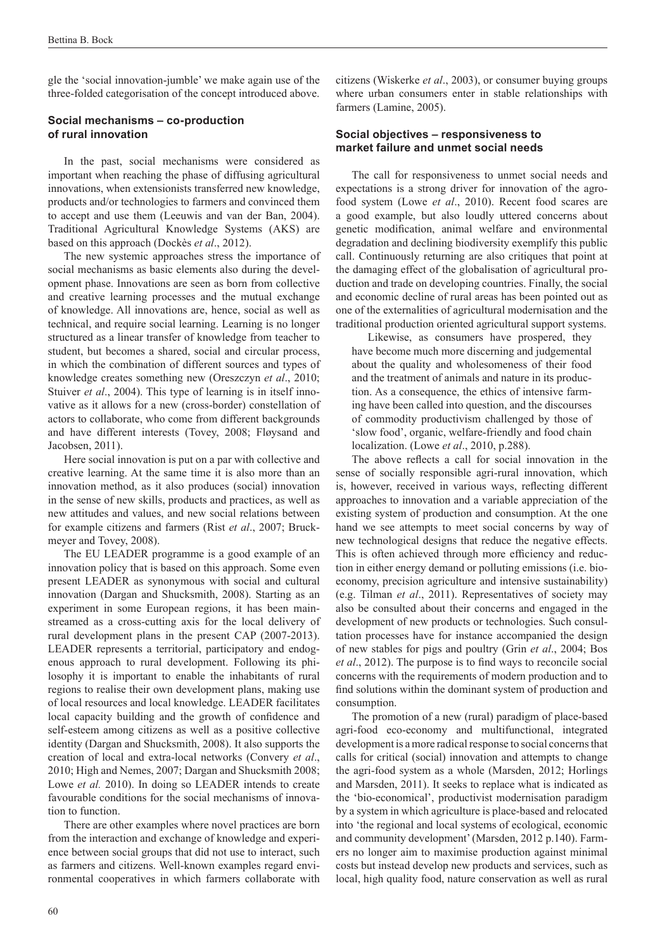gle the 'social innovation-jumble' we make again use of the three-folded categorisation of the concept introduced above.

### **Social mechanisms – co-production of rural innovation**

In the past, social mechanisms were considered as important when reaching the phase of diffusing agricultural innovations, when extensionists transferred new knowledge, products and/or technologies to farmers and convinced them to accept and use them (Leeuwis and van der Ban, 2004). Traditional Agricultural Knowledge Systems (AKS) are based on this approach (Dockès *et al*., 2012).

The new systemic approaches stress the importance of social mechanisms as basic elements also during the development phase. Innovations are seen as born from collective and creative learning processes and the mutual exchange of knowledge. All innovations are, hence, social as well as technical, and require social learning. Learning is no longer structured as a linear transfer of knowledge from teacher to student, but becomes a shared, social and circular process, in which the combination of different sources and types of knowledge creates something new (Oreszczyn *et al*., 2010; Stuiver *et al*., 2004). This type of learning is in itself innovative as it allows for a new (cross-border) constellation of actors to collaborate, who come from different backgrounds and have different interests (Tovey, 2008; Fløysand and Jacobsen, 2011).

Here social innovation is put on a par with collective and creative learning. At the same time it is also more than an innovation method, as it also produces (social) innovation in the sense of new skills, products and practices, as well as new attitudes and values, and new social relations between for example citizens and farmers (Rist *et al*., 2007; Bruckmeyer and Tovey, 2008).

The EU LEADER programme is a good example of an innovation policy that is based on this approach. Some even present LEADER as synonymous with social and cultural innovation (Dargan and Shucksmith, 2008). Starting as an experiment in some European regions, it has been mainstreamed as a cross-cutting axis for the local delivery of rural development plans in the present CAP (2007-2013). LEADER represents a territorial, participatory and endogenous approach to rural development. Following its philosophy it is important to enable the inhabitants of rural regions to realise their own development plans, making use of local resources and local knowledge. LEADER facilitates local capacity building and the growth of confidence and self-esteem among citizens as well as a positive collective identity (Dargan and Shucksmith, 2008). It also supports the creation of local and extra-local networks (Convery *et al*., 2010; High and Nemes, 2007; Dargan and Shucksmith 2008; Lowe *et al.* 2010). In doing so LEADER intends to create favourable conditions for the social mechanisms of innovation to function.

There are other examples where novel practices are born from the interaction and exchange of knowledge and experience between social groups that did not use to interact, such as farmers and citizens. Well-known examples regard environmental cooperatives in which farmers collaborate with citizens (Wiskerke *et al*., 2003), or consumer buying groups where urban consumers enter in stable relationships with farmers (Lamine, 2005).

### **Social objectives – responsiveness to market failure and unmet social needs**

The call for responsiveness to unmet social needs and expectations is a strong driver for innovation of the agrofood system (Lowe *et al*., 2010). Recent food scares are a good example, but also loudly uttered concerns about genetic modification, animal welfare and environmental degradation and declining biodiversity exemplify this public call. Continuously returning are also critiques that point at the damaging effect of the globalisation of agricultural production and trade on developing countries. Finally, the social and economic decline of rural areas has been pointed out as one of the externalities of agricultural modernisation and the traditional production oriented agricultural support systems.

Likewise, as consumers have prospered, they have become much more discerning and judgemental about the quality and wholesomeness of their food and the treatment of animals and nature in its production. As a consequence, the ethics of intensive farming have been called into question, and the discourses of commodity productivism challenged by those of 'slow food', organic, welfare-friendly and food chain localization. (Lowe *et al*., 2010, p.288).

The above reflects a call for social innovation in the sense of socially responsible agri-rural innovation, which is, however, received in various ways, reflecting different approaches to innovation and a variable appreciation of the existing system of production and consumption. At the one hand we see attempts to meet social concerns by way of new technological designs that reduce the negative effects. This is often achieved through more efficiency and reduction in either energy demand or polluting emissions (i.e. bioeconomy, precision agriculture and intensive sustainability) (e.g. Tilman *et al*., 2011). Representatives of society may also be consulted about their concerns and engaged in the development of new products or technologies. Such consultation processes have for instance accompanied the design of new stables for pigs and poultry (Grin *et al*., 2004; Bos *et al.*, 2012). The purpose is to find ways to reconcile social concerns with the requirements of modern production and to find solutions within the dominant system of production and consumption.

The promotion of a new (rural) paradigm of place-based agri-food eco-economy and multifunctional, integrated development is a more radical response to social concerns that calls for critical (social) innovation and attempts to change the agri-food system as a whole (Marsden, 2012; Horlings and Marsden, 2011). It seeks to replace what is indicated as the 'bio-economical', productivist modernisation paradigm by a system in which agriculture is place-based and relocated into 'the regional and local systems of ecological, economic and community development' (Marsden, 2012 p.140). Farmers no longer aim to maximise production against minimal costs but instead develop new products and services, such as local, high quality food, nature conservation as well as rural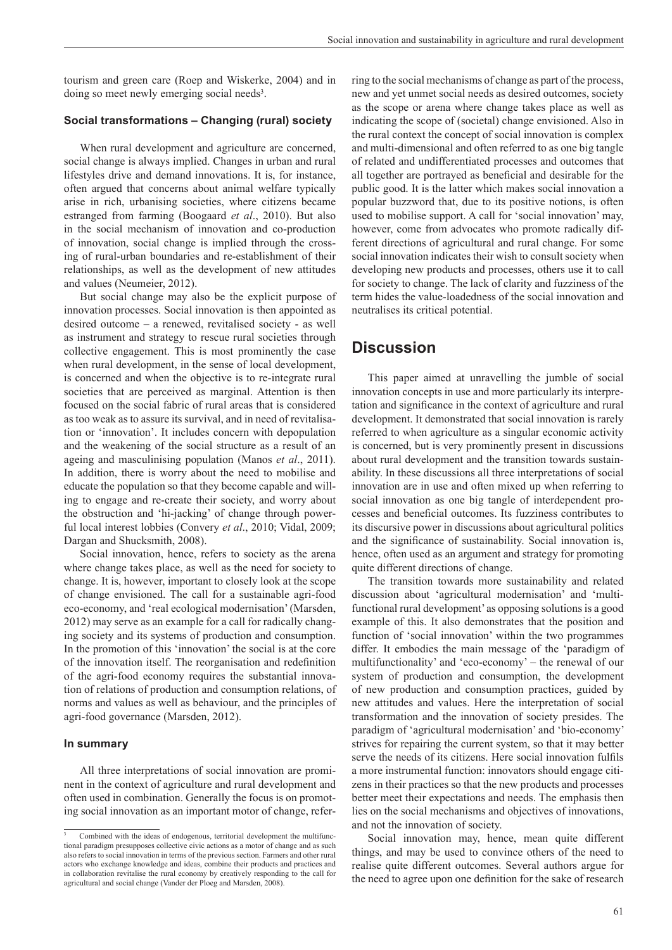tourism and green care (Roep and Wiskerke, 2004) and in doing so meet newly emerging social needs<sup>3</sup>.

#### **Social transformations – Changing (rural) society**

When rural development and agriculture are concerned, social change is always implied. Changes in urban and rural lifestyles drive and demand innovations. It is, for instance, often argued that concerns about animal welfare typically arise in rich, urbanising societies, where citizens became estranged from farming (Boogaard *et al*., 2010). But also in the social mechanism of innovation and co-production of innovation, social change is implied through the crossing of rural-urban boundaries and re-establishment of their relationships, as well as the development of new attitudes and values (Neumeier, 2012).

But social change may also be the explicit purpose of innovation processes. Social innovation is then appointed as desired outcome – a renewed, revitalised society - as well as instrument and strategy to rescue rural societies through collective engagement. This is most prominently the case when rural development, in the sense of local development, is concerned and when the objective is to re-integrate rural societies that are perceived as marginal. Attention is then focused on the social fabric of rural areas that is considered as too weak as to assure its survival, and in need of revitalisation or 'innovation'. It includes concern with depopulation and the weakening of the social structure as a result of an ageing and masculinising population (Manos *et al*., 2011). In addition, there is worry about the need to mobilise and educate the population so that they become capable and willing to engage and re-create their society, and worry about the obstruction and 'hi-jacking' of change through powerful local interest lobbies (Convery *et al*., 2010; Vidal, 2009; Dargan and Shucksmith, 2008).

Social innovation, hence, refers to society as the arena where change takes place, as well as the need for society to change. It is, however, important to closely look at the scope of change envisioned. The call for a sustainable agri-food eco-economy, and 'real ecological modernisation' (Marsden, 2012) may serve as an example for a call for radically changing society and its systems of production and consumption. In the promotion of this 'innovation' the social is at the core of the innovation itself. The reorganisation and redefinition of the agri-food economy requires the substantial innovation of relations of production and consumption relations, of norms and values as well as behaviour, and the principles of agri-food governance (Marsden, 2012).

#### **In summary**

All three interpretations of social innovation are prominent in the context of agriculture and rural development and often used in combination. Generally the focus is on promoting social innovation as an important motor of change, referring to the social mechanisms of change as part of the process, new and yet unmet social needs as desired outcomes, society as the scope or arena where change takes place as well as indicating the scope of (societal) change envisioned. Also in the rural context the concept of social innovation is complex and multi-dimensional and often referred to as one big tangle of related and undifferentiated processes and outcomes that all together are portrayed as beneficial and desirable for the public good. It is the latter which makes social innovation a popular buzzword that, due to its positive notions, is often used to mobilise support. A call for 'social innovation' may, however, come from advocates who promote radically different directions of agricultural and rural change. For some social innovation indicates their wish to consult society when developing new products and processes, others use it to call for society to change. The lack of clarity and fuzziness of the term hides the value-loadedness of the social innovation and neutralises its critical potential.

### **Discussion**

This paper aimed at unravelling the jumble of social innovation concepts in use and more particularly its interpretation and significance in the context of agriculture and rural development. It demonstrated that social innovation is rarely referred to when agriculture as a singular economic activity is concerned, but is very prominently present in discussions about rural development and the transition towards sustainability. In these discussions all three interpretations of social innovation are in use and often mixed up when referring to social innovation as one big tangle of interdependent processes and beneficial outcomes. Its fuzziness contributes to its discursive power in discussions about agricultural politics and the significance of sustainability. Social innovation is, hence, often used as an argument and strategy for promoting quite different directions of change.

The transition towards more sustainability and related discussion about 'agricultural modernisation' and 'multifunctional rural development' as opposing solutions is a good example of this. It also demonstrates that the position and function of 'social innovation' within the two programmes differ. It embodies the main message of the 'paradigm of multifunctionality' and 'eco-economy' – the renewal of our system of production and consumption, the development of new production and consumption practices, guided by new attitudes and values. Here the interpretation of social transformation and the innovation of society presides. The paradigm of 'agricultural modernisation' and 'bio-economy' strives for repairing the current system, so that it may better serve the needs of its citizens. Here social innovation fulfils a more instrumental function: innovators should engage citizens in their practices so that the new products and processes better meet their expectations and needs. The emphasis then lies on the social mechanisms and objectives of innovations, and not the innovation of society.

Social innovation may, hence, mean quite different things, and may be used to convince others of the need to realise quite different outcomes. Several authors argue for the need to agree upon one definition for the sake of research

Combined with the ideas of endogenous, territorial development the multifunctional paradigm presupposes collective civic actions as a motor of change and as such also refers to social innovation in terms of the previous section. Farmers and other rural actors who exchange knowledge and ideas, combine their products and practices and in collaboration revitalise the rural economy by creatively responding to the call for agricultural and social change (Vander der Ploeg and Marsden, 2008).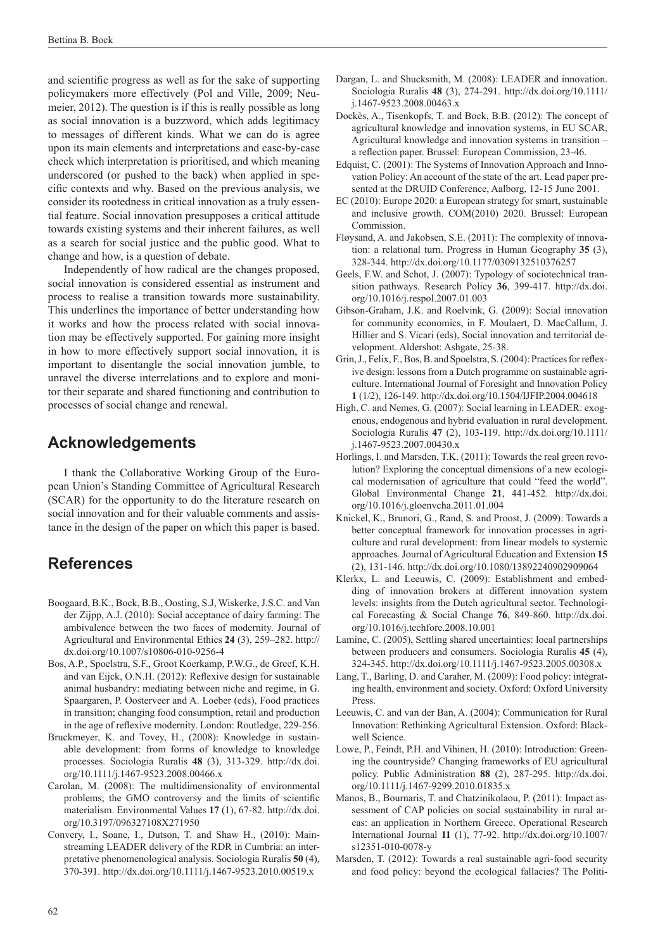and scientific progress as well as for the sake of supporting policymakers more effectively (Pol and Ville, 2009; Neumeier, 2012). The question is if this is really possible as long as social innovation is a buzzword, which adds legitimacy to messages of different kinds. What we can do is agree upon its main elements and interpretations and case-by-case check which interpretation is prioritised, and which meaning underscored (or pushed to the back) when applied in specific contexts and why. Based on the previous analysis, we consider its rootedness in critical innovation as a truly essential feature. Social innovation presupposes a critical attitude towards existing systems and their inherent failures, as well as a search for social justice and the public good. What to change and how, is a question of debate.

Independently of how radical are the changes proposed, social innovation is considered essential as instrument and process to realise a transition towards more sustainability. This underlines the importance of better understanding how it works and how the process related with social innovation may be effectively supported. For gaining more insight in how to more effectively support social innovation, it is important to disentangle the social innovation jumble, to unravel the diverse interrelations and to explore and monitor their separate and shared functioning and contribution to processes of social change and renewal.

### **Acknowledgements**

I thank the Collaborative Working Group of the European Union's Standing Committee of Agricultural Research (SCAR) for the opportunity to do the literature research on social innovation and for their valuable comments and assistance in the design of the paper on which this paper is based.

### **R eferences**

- Boogaard, B.K., Bock, B.B., Oosting, S.J, Wiskerke, J.S.C. and Van der Zijpp, A.J. (2010): Social acceptance of dairy farming: The ambivalence between the two faces of modernity. Journal of Agricultural and Environmental Ethics **24** (3), 259–282. http:// dx.doi.org/10.1007/s10806-010-9256-4
- Bos, A.P., Spoelstra, S.F., Groot Koerkamp, P.W.G., de Greef, K.H. and van Eijck, O.N.H. (2012): Reflexive design for sustainable animal husbandry: mediating between niche and regime, in G. Spaargaren, P. Oosterveer and A. Loeber (eds), Food practices in transition; changing food consumption, retail and production in the age of reflexive modernity. London: Routledge, 229-256.
- Bruckmeyer, K. and Tovey, H., (2008): Knowledge in sustainable development: from forms of knowledge to knowledge processes. Sociologia Ruralis **48** (3), 313-329. http://dx.doi. org/10.1111/j.1467-9523.2008.00466.x
- Carolan, M. (2008): The multidimensionality of environmental problems; the GMO controversy and the limits of scientific materialism. Environmental Values **17** (1), 67-82. http://dx.doi. org/10.3197/096327108X271950
- Convery, I., Soane, I., Dutson, T. and Shaw H., (2010): Mainstreaming LEADER delivery of the RDR in Cumbria: an interpretative phenomenological analysis. Sociologia Ruralis **50** (4), 370-391. http://dx.doi.org/10.1111/j.1467-9523.2010.00519.x
- Dargan, L. and Shucksmith, M. (2008): LEADER and innovation. Sociologia Ruralis **48** (3), 274-291. http://dx.doi.org/10.1111/ j.1467-9523.2008.00463.x
- Dockès, A., Tisenkopfs, T. and Bock, B.B. (2012): The concept of agricultural knowledge and innovation systems, in EU SCAR, Agricultural knowledge and innovation systems in transition – a reflection paper. Brussel: European Commission, 23-46.
- Edquist, C. (2001): The Systems of Innovation Approach and Innovation Policy: An account of the state of the art. Lead paper presented at the DRUID Conference, Aalborg, 12-15 June 2001.
- EC (2010): Europe 2020: a European strategy for smart, sustainable and inclusive growth. COM(2010) 2020. Brussel: European Commission.
- Fløysand, A. and Jakobsen, S.E. (2011): The complexity of innovation: a relational turn. Progress in Human Geography **35** (3), 328-344. http://dx.doi.org/10.1177/0309132510376257
- Geels, F.W. and Schot, J. (2007): Typology of sociotechnical transition pathways. Research Policy **36**, 399-417. http://dx.doi. org/10.1016/j.respol.2007.01.003
- Gibson-Graham, J.K. and Roelvink, G. (2009): Social innovation for community economics, in F. Moulaert, D. MacCallum, J. Hillier and S. Vicari (eds), Social innovation and territorial development. Aldershot: Ashgate, 25-38.
- Grin, J., Felix, F., Bos, B. and Spoelstra, S. (2004): Practices for reflexive design: lessons from a Dutch programme on sustainable agriculture. International Journal of Foresight and Innovation Policy **1** (1/2), 126-149. http://dx.doi.org/10.1504/IJFIP.2004.004618
- High, C. and Nemes, G. (2007): Social learning in LEADER: exogenous, endogenous and hybrid evaluation in rural development. Sociologia Ruralis **47** (2), 103-119. http://dx.doi.org/10.1111/ j.1467-9523.2007.00430.x
- Horlings, I. and Marsden, T.K. (2011): Towards the real green revolution? Exploring the conceptual dimensions of a new ecological modernisation of agriculture that could "feed the world". Global Environmental Change **21**, 441-452. http://dx.doi. org/10.1016/j.gloenvcha.2011.01.004
- Knickel, K., Brunori, G., Rand, S. and Proost, J. (2009): Towards a better conceptual framework for innovation processes in agriculture and rural development: from linear models to systemic approaches. Journal of Agricultural Education and Extension **15** (2), 131-146. http://dx.doi.org/10.1080/13892240902909064
- Klerkx, L. and Leeuwis, C. (2009): Establishment and embedding of innovation brokers at different innovation system levels: insights from the Dutch agricultural sector. Technological Forecasting & Social Change **76**, 849-860. http://dx.doi. org/10.1016/j.techfore.2008.10.001
- Lamine, C. (2005), Settling shared uncertainties: local partnerships between producers and consumers. Sociologia Ruralis **45** (4), 324-345. http://dx.doi.org/10.1111/j.1467-9523.2005.00308.x
- Lang, T., Barling, D. and Caraher, M. (2009): Food policy: integrating health, environment and society. Oxford: Oxford University Press.
- Leeuwis, C. and van der Ban, A. (2004): Communication for Rural Innovation: Rethinking Agricultural Extension. Oxford: Blackwell Science.
- Lowe, P., Feindt, P.H. and Vihinen, H. (2010): Introduction: Greening the countryside? Changing frameworks of EU agricultural policy. Public Administration **88** (2), 287-295. http://dx.doi. org/10.1111/j.1467-9299.2010.01835.x
- Manos, B., Bournaris, T. and Chatzinikolaou, P. (2011): Impact assessment of CAP policies on social sustainability in rural areas: an application in Northern Greece. Operational Research International Journal **11** (1), 77-92. http://dx.doi.org/10.1007/ s12351-010-0078-y
- Marsden, T. (2012): Towards a real sustainable agri-food security and food policy: beyond the ecological fallacies? The Politi-